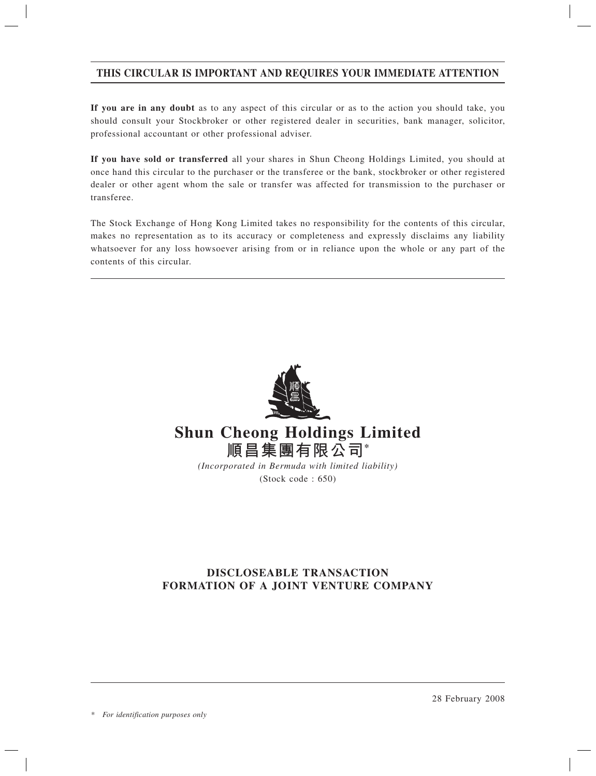# **THIS CIRCULAR IS IMPORTANT AND REQUIRES YOUR IMMEDIATE ATTENTION**

**If you are in any doubt** as to any aspect of this circular or as to the action you should take, you should consult your Stockbroker or other registered dealer in securities, bank manager, solicitor, professional accountant or other professional adviser.

**If you have sold or transferred** all your shares in Shun Cheong Holdings Limited, you should at once hand this circular to the purchaser or the transferee or the bank, stockbroker or other registered dealer or other agent whom the sale or transfer was affected for transmission to the purchaser or transferee.

The Stock Exchange of Hong Kong Limited takes no responsibility for the contents of this circular, makes no representation as to its accuracy or completeness and expressly disclaims any liability whatsoever for any loss howsoever arising from or in reliance upon the whole or any part of the contents of this circular.



# **Shun Cheong Holdings Limited 順昌集團有限公司\***

*(Incorporated in Bermuda with limited liability)* (Stock code : 650)

# **DISCLOSEABLE TRANSACTION FORMATION OF A JOINT VENTURE COMPANY**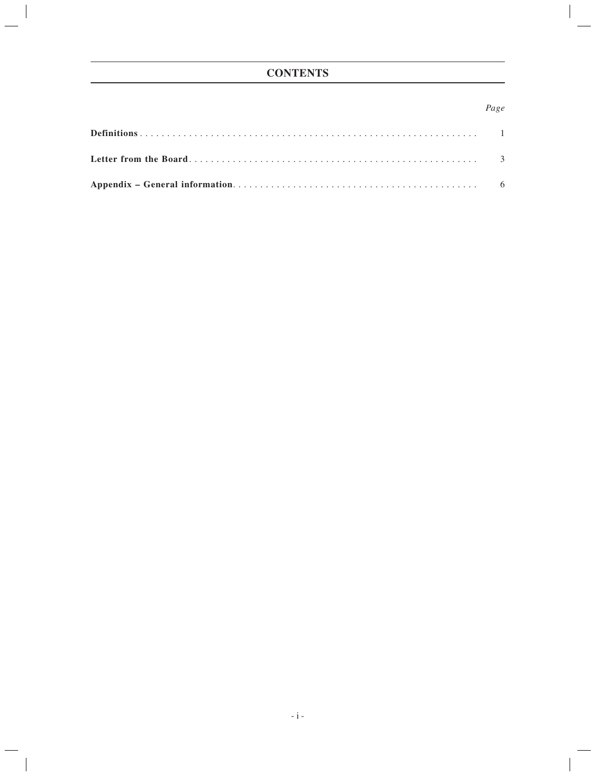# **CONTENTS**

## *Page*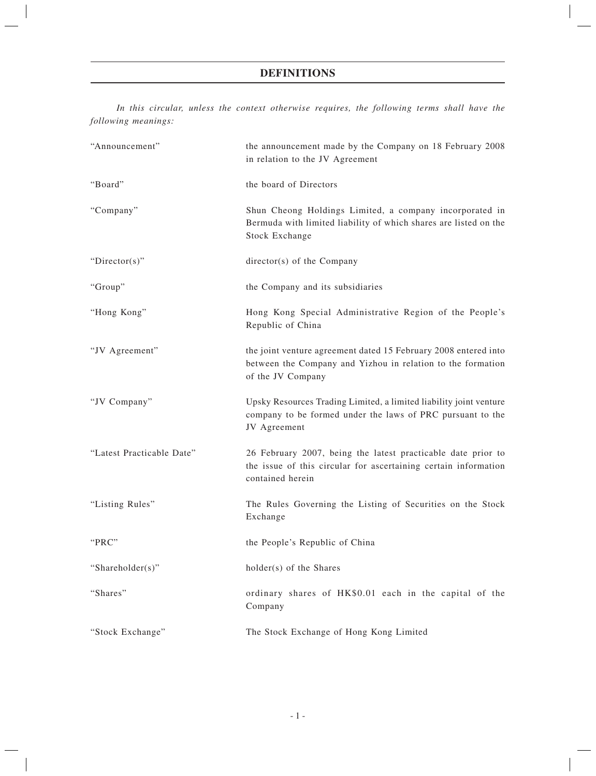# **DEFINITIONS**

*In this circular, unless the context otherwise requires, the following terms shall have the following meanings:*

| "Announcement"            | the announcement made by the Company on 18 February 2008<br>in relation to the JV Agreement                                                          |  |
|---------------------------|------------------------------------------------------------------------------------------------------------------------------------------------------|--|
| "Board"                   | the board of Directors                                                                                                                               |  |
| "Company"                 | Shun Cheong Holdings Limited, a company incorporated in<br>Bermuda with limited liability of which shares are listed on the<br><b>Stock Exchange</b> |  |
| " $Directory$ "           | director(s) of the Company                                                                                                                           |  |
| "Group"                   | the Company and its subsidiaries                                                                                                                     |  |
| "Hong Kong"               | Hong Kong Special Administrative Region of the People's<br>Republic of China                                                                         |  |
| "JV Agreement"            | the joint venture agreement dated 15 February 2008 entered into<br>between the Company and Yizhou in relation to the formation<br>of the JV Company  |  |
| "JV Company"              | Upsky Resources Trading Limited, a limited liability joint venture<br>company to be formed under the laws of PRC pursuant to the<br>JV Agreement     |  |
| "Latest Practicable Date" | 26 February 2007, being the latest practicable date prior to<br>the issue of this circular for ascertaining certain information<br>contained herein  |  |
| "Listing Rules"           | The Rules Governing the Listing of Securities on the Stock<br>Exchange                                                                               |  |
| "PRC"                     | the People's Republic of China                                                                                                                       |  |
| "Shareholder(s)"          | holder(s) of the Shares                                                                                                                              |  |
| "Shares"                  | ordinary shares of HK\$0.01 each in the capital of the<br>Company                                                                                    |  |
| "Stock Exchange"          | The Stock Exchange of Hong Kong Limited                                                                                                              |  |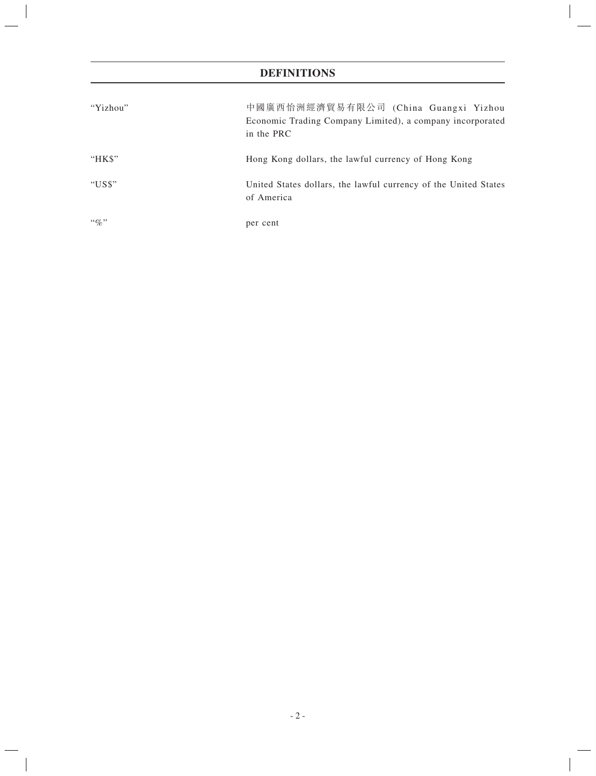# **DEFINITIONS**

| "Yizhou"       | 中國廣西怡洲經濟貿易有限公司 (China Guangxi Yizhou<br>Economic Trading Company Limited), a company incorporated<br>in the PRC |
|----------------|-----------------------------------------------------------------------------------------------------------------|
| "HK\$"         | Hong Kong dollars, the lawful currency of Hong Kong                                                             |
| "US\$"         | United States dollars, the lawful currency of the United States<br>of America                                   |
| $\lq\lq q_0$ " | per cent                                                                                                        |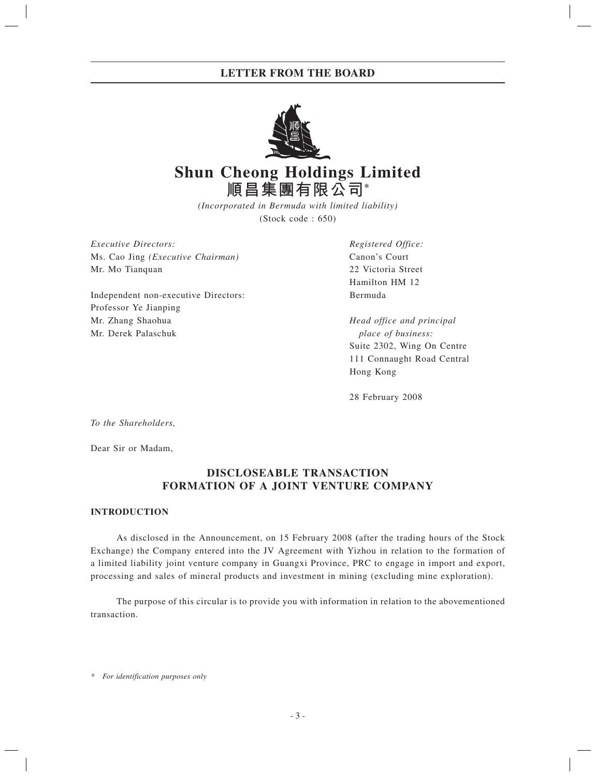# **LETTER FROM THE BOARD**



# **Shun Cheong Holdings Limited 順昌集團有限公司\***

*(Incorporated in Bermuda with limited liability)* (Stock code : 650)

*Executive Directors: Registered Office:* Ms. Cao Jing *(Executive Chairman)* Canon's Court Mr. Mo Tianquan 22 Victoria Street

Independent non-executive Directors: Bermuda Professor Ye Jianping Mr. Zhang Shaohua *Head office and principal* Mr. Derek Palaschuk *place of business:*

Hamilton HM 12

 Suite 2302, Wing On Centre 111 Connaught Road Central Hong Kong

28 February 2008

*To the Shareholders,*

Dear Sir or Madam,

# **DISCLOSEABLE TRANSACTION FORMATION OF A JOINT VENTURE COMPANY**

### **INTRODUCTION**

As disclosed in the Announcement, on 15 February 2008 **(**after the trading hours of the Stock Exchange) the Company entered into the JV Agreement with Yizhou in relation to the formation of a limited liability joint venture company in Guangxi Province, PRC to engage in import and export, processing and sales of mineral products and investment in mining (excluding mine exploration).

The purpose of this circular is to provide you with information in relation to the abovementioned transaction.

*\* For identification purposes only*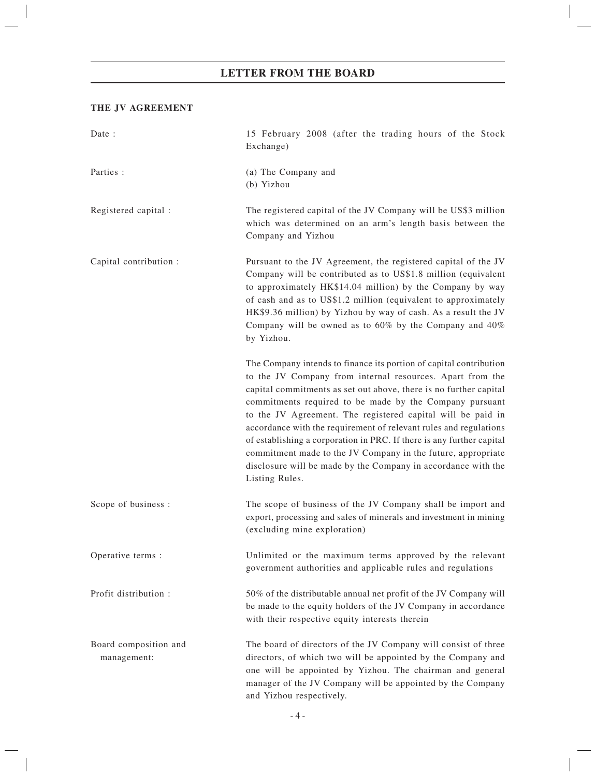# **LETTER FROM THE BOARD**

#### **THE JV AGREEMENT**

| Date:                                | 15 February 2008 (after the trading hours of the Stock<br>Exchange)                                                                                                                                                                                                                                                                                                                                                                                                                                                                                                                                                             |
|--------------------------------------|---------------------------------------------------------------------------------------------------------------------------------------------------------------------------------------------------------------------------------------------------------------------------------------------------------------------------------------------------------------------------------------------------------------------------------------------------------------------------------------------------------------------------------------------------------------------------------------------------------------------------------|
| Parties :                            | (a) The Company and<br>(b) Yizhou                                                                                                                                                                                                                                                                                                                                                                                                                                                                                                                                                                                               |
| Registered capital :                 | The registered capital of the JV Company will be US\$3 million<br>which was determined on an arm's length basis between the<br>Company and Yizhou                                                                                                                                                                                                                                                                                                                                                                                                                                                                               |
| Capital contribution :               | Pursuant to the JV Agreement, the registered capital of the JV<br>Company will be contributed as to US\$1.8 million (equivalent<br>to approximately HK\$14.04 million) by the Company by way<br>of cash and as to US\$1.2 million (equivalent to approximately<br>HK\$9.36 million) by Yizhou by way of cash. As a result the JV<br>Company will be owned as to $60\%$ by the Company and $40\%$<br>by Yizhou.                                                                                                                                                                                                                  |
|                                      | The Company intends to finance its portion of capital contribution<br>to the JV Company from internal resources. Apart from the<br>capital commitments as set out above, there is no further capital<br>commitments required to be made by the Company pursuant<br>to the JV Agreement. The registered capital will be paid in<br>accordance with the requirement of relevant rules and regulations<br>of establishing a corporation in PRC. If there is any further capital<br>commitment made to the JV Company in the future, appropriate<br>disclosure will be made by the Company in accordance with the<br>Listing Rules. |
| Scope of business :                  | The scope of business of the JV Company shall be import and<br>export, processing and sales of minerals and investment in mining<br>(excluding mine exploration)                                                                                                                                                                                                                                                                                                                                                                                                                                                                |
| Operative terms :                    | Unlimited or the maximum terms approved by the relevant<br>government authorities and applicable rules and regulations                                                                                                                                                                                                                                                                                                                                                                                                                                                                                                          |
| Profit distribution :                | 50% of the distributable annual net profit of the JV Company will<br>be made to the equity holders of the JV Company in accordance<br>with their respective equity interests therein                                                                                                                                                                                                                                                                                                                                                                                                                                            |
| Board composition and<br>management: | The board of directors of the JV Company will consist of three<br>directors, of which two will be appointed by the Company and<br>one will be appointed by Yizhou. The chairman and general<br>manager of the JV Company will be appointed by the Company<br>and Yizhou respectively.                                                                                                                                                                                                                                                                                                                                           |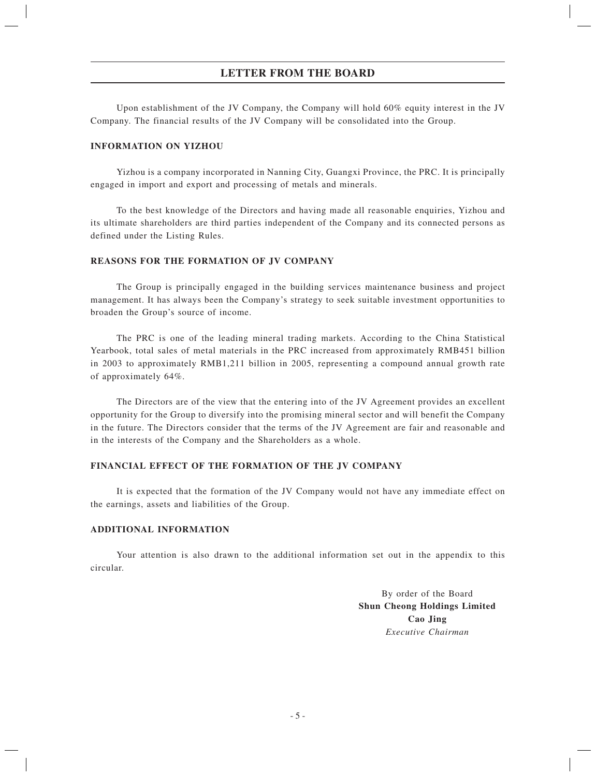## **LETTER FROM THE BOARD**

Upon establishment of the JV Company, the Company will hold 60% equity interest in the JV Company. The financial results of the JV Company will be consolidated into the Group.

#### **INFORMATION ON YIZHOU**

Yizhou is a company incorporated in Nanning City, Guangxi Province, the PRC. It is principally engaged in import and export and processing of metals and minerals.

To the best knowledge of the Directors and having made all reasonable enquiries, Yizhou and its ultimate shareholders are third parties independent of the Company and its connected persons as defined under the Listing Rules.

### **REASONS FOR THE FORMATION OF JV COMPANY**

The Group is principally engaged in the building services maintenance business and project management. It has always been the Company's strategy to seek suitable investment opportunities to broaden the Group's source of income.

The PRC is one of the leading mineral trading markets. According to the China Statistical Yearbook, total sales of metal materials in the PRC increased from approximately RMB451 billion in 2003 to approximately RMB1,211 billion in 2005, representing a compound annual growth rate of approximately 64%.

The Directors are of the view that the entering into of the JV Agreement provides an excellent opportunity for the Group to diversify into the promising mineral sector and will benefit the Company in the future. The Directors consider that the terms of the JV Agreement are fair and reasonable and in the interests of the Company and the Shareholders as a whole.

### **FINANCIAL EFFECT OF THE FORMATION OF THE JV COMPANY**

It is expected that the formation of the JV Company would not have any immediate effect on the earnings, assets and liabilities of the Group.

#### **ADDITIONAL INFORMATION**

Your attention is also drawn to the additional information set out in the appendix to this circular.

> By order of the Board **Shun Cheong Holdings Limited Cao Jing** *Executive Chairman*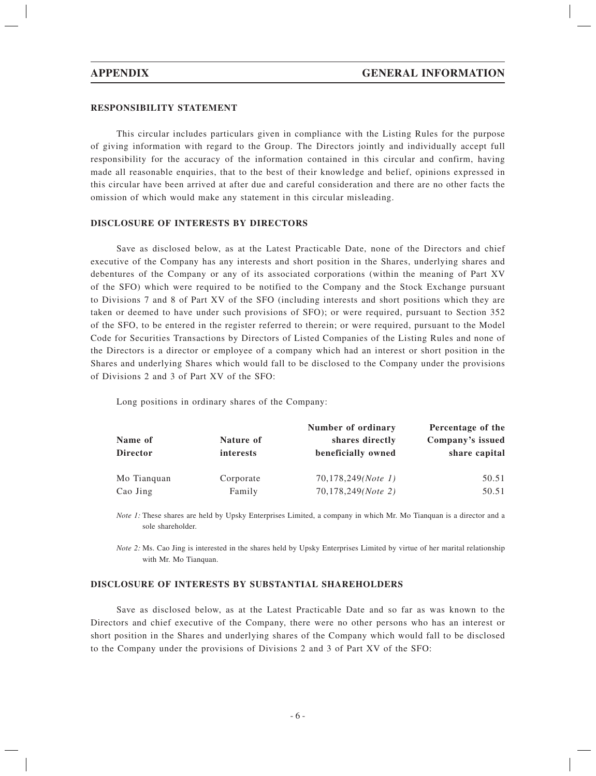#### **RESPONSIBILITY STATEMENT**

This circular includes particulars given in compliance with the Listing Rules for the purpose of giving information with regard to the Group. The Directors jointly and individually accept full responsibility for the accuracy of the information contained in this circular and confirm, having made all reasonable enquiries, that to the best of their knowledge and belief, opinions expressed in this circular have been arrived at after due and careful consideration and there are no other facts the omission of which would make any statement in this circular misleading.

#### **DISCLOSURE OF INTERESTS BY DIRECTORS**

Save as disclosed below, as at the Latest Practicable Date, none of the Directors and chief executive of the Company has any interests and short position in the Shares, underlying shares and debentures of the Company or any of its associated corporations (within the meaning of Part XV of the SFO) which were required to be notified to the Company and the Stock Exchange pursuant to Divisions 7 and 8 of Part XV of the SFO (including interests and short positions which they are taken or deemed to have under such provisions of SFO); or were required, pursuant to Section 352 of the SFO, to be entered in the register referred to therein; or were required, pursuant to the Model Code for Securities Transactions by Directors of Listed Companies of the Listing Rules and none of the Directors is a director or employee of a company which had an interest or short position in the Shares and underlying Shares which would fall to be disclosed to the Company under the provisions of Divisions 2 and 3 of Part XV of the SFO:

Long positions in ordinary shares of the Company:

|                 |                  | Number of ordinary | Percentage of the |
|-----------------|------------------|--------------------|-------------------|
| Name of         | Nature of        | shares directly    | Company's issued  |
| <b>Director</b> | <i>interests</i> | beneficially owned | share capital     |
| Mo Tianquan     | Corporate        | 70,178,249(Note 1) | 50.51             |
| Cao Jing        | Family           | 70,178,249(Note 2) | 50.51             |

*Note 1:* These shares are held by Upsky Enterprises Limited, a company in which Mr. Mo Tianquan is a director and a sole shareholder.

*Note 2:* Ms. Cao Jing is interested in the shares held by Upsky Enterprises Limited by virtue of her marital relationship with Mr. Mo Tianquan.

#### **DISCLOSURE OF INTERESTS BY SUBSTANTIAL SHAREHOLDERS**

Save as disclosed below, as at the Latest Practicable Date and so far as was known to the Directors and chief executive of the Company, there were no other persons who has an interest or short position in the Shares and underlying shares of the Company which would fall to be disclosed to the Company under the provisions of Divisions 2 and 3 of Part XV of the SFO: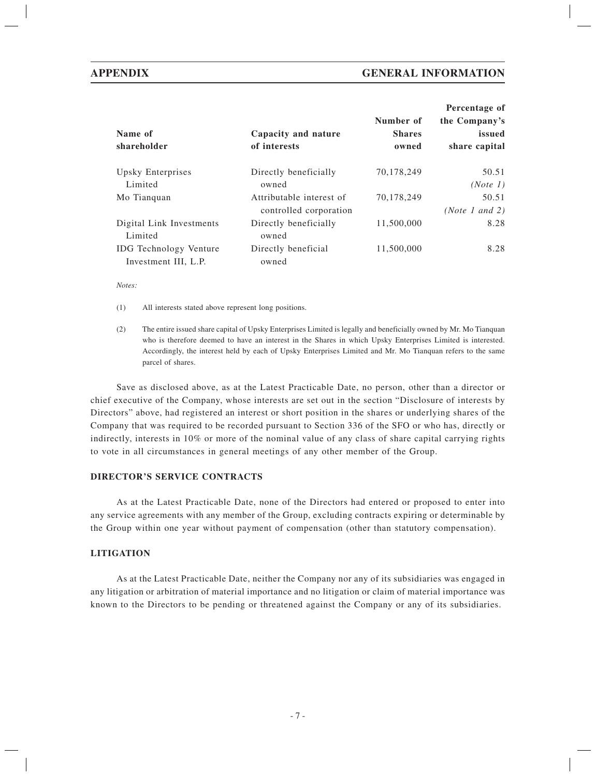| Name of<br>shareholder              | Capacity and nature<br>of interests | Number of<br><b>Shares</b><br>owned | Percentage of<br>the Company's<br>issued<br>share capital |
|-------------------------------------|-------------------------------------|-------------------------------------|-----------------------------------------------------------|
| Upsky Enterprises                   | Directly beneficially               | 70.178.249                          | 50.51                                                     |
| Limited                             | owned                               |                                     | (Note 1)                                                  |
| Mo Tianquan                         | Attributable interest of            | 70,178,249                          | 50.51                                                     |
|                                     | controlled corporation              |                                     | (Note 1 and 2)                                            |
| Digital Link Investments<br>Limited | Directly beneficially<br>owned      | 11,500,000                          | 8.28                                                      |
| <b>IDG</b> Technology Venture       | Directly beneficial                 | 11,500,000                          | 8.28                                                      |
| Investment III, L.P.                | owned                               |                                     |                                                           |

*Notes:*

(1) All interests stated above represent long positions.

(2) The entire issued share capital of Upsky Enterprises Limited is legally and beneficially owned by Mr. Mo Tianquan who is therefore deemed to have an interest in the Shares in which Upsky Enterprises Limited is interested. Accordingly, the interest held by each of Upsky Enterprises Limited and Mr. Mo Tianquan refers to the same parcel of shares.

Save as disclosed above, as at the Latest Practicable Date, no person, other than a director or chief executive of the Company, whose interests are set out in the section "Disclosure of interests by Directors" above, had registered an interest or short position in the shares or underlying shares of the Company that was required to be recorded pursuant to Section 336 of the SFO or who has, directly or indirectly, interests in 10% or more of the nominal value of any class of share capital carrying rights to vote in all circumstances in general meetings of any other member of the Group.

#### **DIRECTOR'S SERVICE CONTRACTS**

As at the Latest Practicable Date, none of the Directors had entered or proposed to enter into any service agreements with any member of the Group, excluding contracts expiring or determinable by the Group within one year without payment of compensation (other than statutory compensation).

### **LITIGATION**

As at the Latest Practicable Date, neither the Company nor any of its subsidiaries was engaged in any litigation or arbitration of material importance and no litigation or claim of material importance was known to the Directors to be pending or threatened against the Company or any of its subsidiaries.